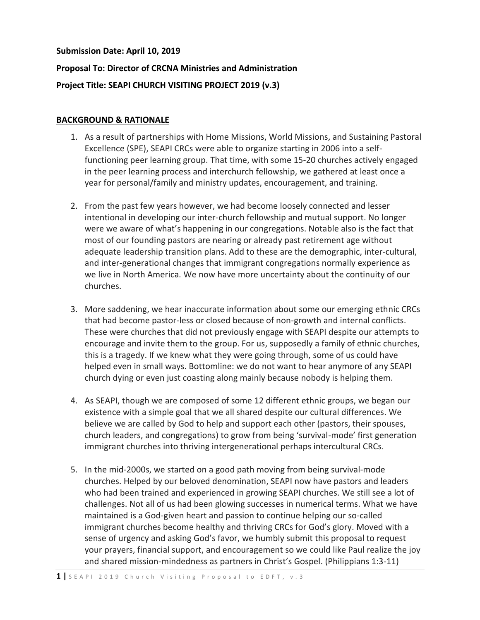#### **Submission Date: April 10, 2019**

# **Proposal To: Director of CRCNA Ministries and Administration Project Title: SEAPI CHURCH VISITING PROJECT 2019 (v.3)**

#### **BACKGROUND & RATIONALE**

- 1. As a result of partnerships with Home Missions, World Missions, and Sustaining Pastoral Excellence (SPE), SEAPI CRCs were able to organize starting in 2006 into a selffunctioning peer learning group. That time, with some 15-20 churches actively engaged in the peer learning process and interchurch fellowship, we gathered at least once a year for personal/family and ministry updates, encouragement, and training.
- 2. From the past few years however, we had become loosely connected and lesser intentional in developing our inter-church fellowship and mutual support. No longer were we aware of what's happening in our congregations. Notable also is the fact that most of our founding pastors are nearing or already past retirement age without adequate leadership transition plans. Add to these are the demographic, inter-cultural, and inter-generational changes that immigrant congregations normally experience as we live in North America. We now have more uncertainty about the continuity of our churches.
- 3. More saddening, we hear inaccurate information about some our emerging ethnic CRCs that had become pastor-less or closed because of non-growth and internal conflicts. These were churches that did not previously engage with SEAPI despite our attempts to encourage and invite them to the group. For us, supposedly a family of ethnic churches, this is a tragedy. If we knew what they were going through, some of us could have helped even in small ways. Bottomline: we do not want to hear anymore of any SEAPI church dying or even just coasting along mainly because nobody is helping them.
- 4. As SEAPI, though we are composed of some 12 different ethnic groups, we began our existence with a simple goal that we all shared despite our cultural differences. We believe we are called by God to help and support each other (pastors, their spouses, church leaders, and congregations) to grow from being 'survival-mode' first generation immigrant churches into thriving intergenerational perhaps intercultural CRCs.
- 5. In the mid-2000s, we started on a good path moving from being survival-mode churches. Helped by our beloved denomination, SEAPI now have pastors and leaders who had been trained and experienced in growing SEAPI churches. We still see a lot of challenges. Not all of us had been glowing successes in numerical terms. What we have maintained is a God-given heart and passion to continue helping our so-called immigrant churches become healthy and thriving CRCs for God's glory. Moved with a sense of urgency and asking God's favor, we humbly submit this proposal to request your prayers, financial support, and encouragement so we could like Paul realize the joy and shared mission-mindedness as partners in Christ's Gospel. (Philippians 1:3-11)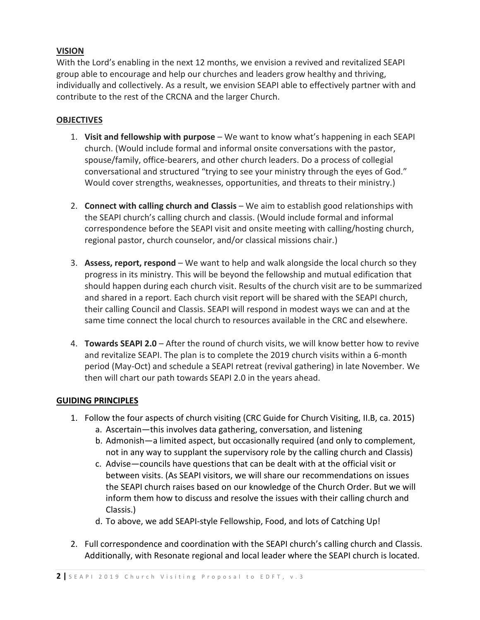## **VISION**

With the Lord's enabling in the next 12 months, we envision a revived and revitalized SEAPI group able to encourage and help our churches and leaders grow healthy and thriving, individually and collectively. As a result, we envision SEAPI able to effectively partner with and contribute to the rest of the CRCNA and the larger Church.

#### **OBJECTIVES**

- 1. **Visit and fellowship with purpose** We want to know what's happening in each SEAPI church. (Would include formal and informal onsite conversations with the pastor, spouse/family, office-bearers, and other church leaders. Do a process of collegial conversational and structured "trying to see your ministry through the eyes of God." Would cover strengths, weaknesses, opportunities, and threats to their ministry.)
- 2. **Connect with calling church and Classis** We aim to establish good relationships with the SEAPI church's calling church and classis. (Would include formal and informal correspondence before the SEAPI visit and onsite meeting with calling/hosting church, regional pastor, church counselor, and/or classical missions chair.)
- 3. **Assess, report, respond** We want to help and walk alongside the local church so they progress in its ministry. This will be beyond the fellowship and mutual edification that should happen during each church visit. Results of the church visit are to be summarized and shared in a report. Each church visit report will be shared with the SEAPI church, their calling Council and Classis. SEAPI will respond in modest ways we can and at the same time connect the local church to resources available in the CRC and elsewhere.
- 4. **Towards SEAPI 2.0** After the round of church visits, we will know better how to revive and revitalize SEAPI. The plan is to complete the 2019 church visits within a 6-month period (May-Oct) and schedule a SEAPI retreat (revival gathering) in late November. We then will chart our path towards SEAPI 2.0 in the years ahead.

#### **GUIDING PRINCIPLES**

- 1. Follow the four aspects of church visiting (CRC Guide for Church Visiting, II.B, ca. 2015)
	- a. Ascertain—this involves data gathering, conversation, and listening
	- b. Admonish—a limited aspect, but occasionally required (and only to complement, not in any way to supplant the supervisory role by the calling church and Classis)
	- c. Advise—councils have questions that can be dealt with at the official visit or between visits. (As SEAPI visitors, we will share our recommendations on issues the SEAPI church raises based on our knowledge of the Church Order. But we will inform them how to discuss and resolve the issues with their calling church and Classis.)
	- d. To above, we add SEAPI-style Fellowship, Food, and lots of Catching Up!
- 2. Full correspondence and coordination with the SEAPI church's calling church and Classis. Additionally, with Resonate regional and local leader where the SEAPI church is located.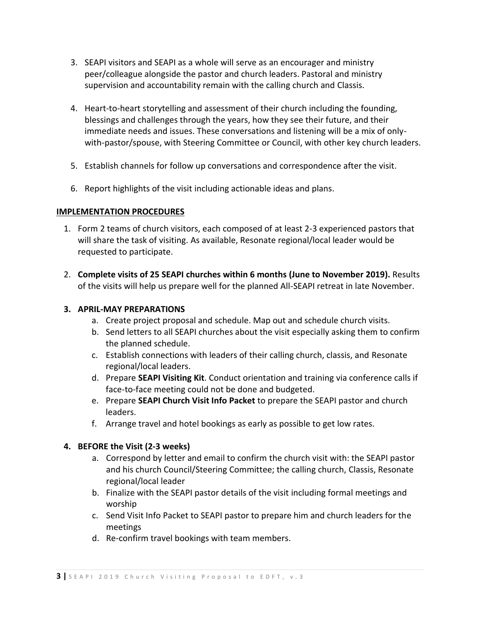- 3. SEAPI visitors and SEAPI as a whole will serve as an encourager and ministry peer/colleague alongside the pastor and church leaders. Pastoral and ministry supervision and accountability remain with the calling church and Classis.
- 4. Heart-to-heart storytelling and assessment of their church including the founding, blessings and challenges through the years, how they see their future, and their immediate needs and issues. These conversations and listening will be a mix of onlywith-pastor/spouse, with Steering Committee or Council, with other key church leaders.
- 5. Establish channels for follow up conversations and correspondence after the visit.
- 6. Report highlights of the visit including actionable ideas and plans.

#### **IMPLEMENTATION PROCEDURES**

- 1. Form 2 teams of church visitors, each composed of at least 2-3 experienced pastors that will share the task of visiting. As available, Resonate regional/local leader would be requested to participate.
- 2. **Complete visits of 25 SEAPI churches within 6 months (June to November 2019).** Results of the visits will help us prepare well for the planned All-SEAPI retreat in late November.

#### **3. APRIL-MAY PREPARATIONS**

- a. Create project proposal and schedule. Map out and schedule church visits.
- b. Send letters to all SEAPI churches about the visit especially asking them to confirm the planned schedule.
- c. Establish connections with leaders of their calling church, classis, and Resonate regional/local leaders.
- d. Prepare **SEAPI Visiting Kit**. Conduct orientation and training via conference calls if face-to-face meeting could not be done and budgeted.
- e. Prepare **SEAPI Church Visit Info Packet** to prepare the SEAPI pastor and church leaders.
- f. Arrange travel and hotel bookings as early as possible to get low rates.

#### **4. BEFORE the Visit (2-3 weeks)**

- a. Correspond by letter and email to confirm the church visit with: the SEAPI pastor and his church Council/Steering Committee; the calling church, Classis, Resonate regional/local leader
- b. Finalize with the SEAPI pastor details of the visit including formal meetings and worship
- c. Send Visit Info Packet to SEAPI pastor to prepare him and church leaders for the meetings
- d. Re-confirm travel bookings with team members.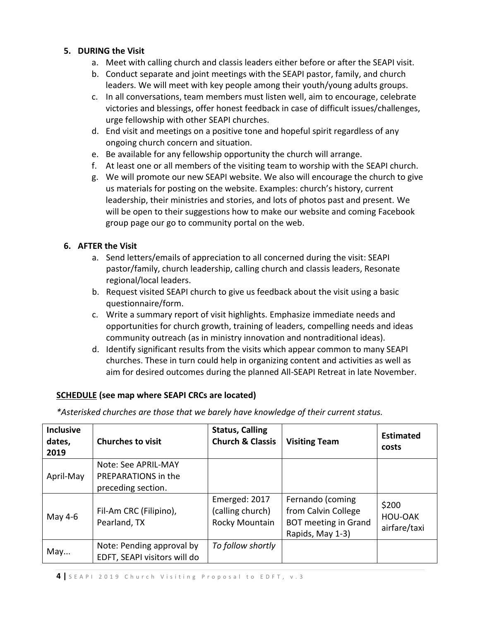## **5. DURING the Visit**

- a. Meet with calling church and classis leaders either before or after the SEAPI visit.
- b. Conduct separate and joint meetings with the SEAPI pastor, family, and church leaders. We will meet with key people among their youth/young adults groups.
- c. In all conversations, team members must listen well, aim to encourage, celebrate victories and blessings, offer honest feedback in case of difficult issues/challenges, urge fellowship with other SEAPI churches.
- d. End visit and meetings on a positive tone and hopeful spirit regardless of any ongoing church concern and situation.
- e. Be available for any fellowship opportunity the church will arrange.
- f. At least one or all members of the visiting team to worship with the SEAPI church.
- g. We will promote our new SEAPI website. We also will encourage the church to give us materials for posting on the website. Examples: church's history, current leadership, their ministries and stories, and lots of photos past and present. We will be open to their suggestions how to make our website and coming Facebook group page our go to community portal on the web.

## **6. AFTER the Visit**

- a. Send letters/emails of appreciation to all concerned during the visit: SEAPI pastor/family, church leadership, calling church and classis leaders, Resonate regional/local leaders.
- b. Request visited SEAPI church to give us feedback about the visit using a basic questionnaire/form.
- c. Write a summary report of visit highlights. Emphasize immediate needs and opportunities for church growth, training of leaders, compelling needs and ideas community outreach (as in ministry innovation and nontraditional ideas).
- d. Identify significant results from the visits which appear common to many SEAPI churches. These in turn could help in organizing content and activities as well as aim for desired outcomes during the planned All-SEAPI Retreat in late November.

#### **SCHEDULE (see map where SEAPI CRCs are located)**

*\*Asterisked churches are those that we barely have knowledge of their current status.*

| <b>Inclusive</b><br>dates,<br>2019 | <b>Churches to visit</b>                                         | <b>Status, Calling</b><br><b>Church &amp; Classis</b> | <b>Visiting Team</b>                                                                       | <b>Estimated</b><br>costs        |
|------------------------------------|------------------------------------------------------------------|-------------------------------------------------------|--------------------------------------------------------------------------------------------|----------------------------------|
| April-May                          | Note: See APRIL-MAY<br>PREPARATIONS in the<br>preceding section. |                                                       |                                                                                            |                                  |
| May 4-6                            | Fil-Am CRC (Filipino),<br>Pearland, TX                           | Emerged: 2017<br>(calling church)<br>Rocky Mountain   | Fernando (coming<br>from Calvin College<br><b>BOT meeting in Grand</b><br>Rapids, May 1-3) | \$200<br>HOU-OAK<br>airfare/taxi |
| May                                | Note: Pending approval by<br>EDFT, SEAPI visitors will do        | To follow shortly                                     |                                                                                            |                                  |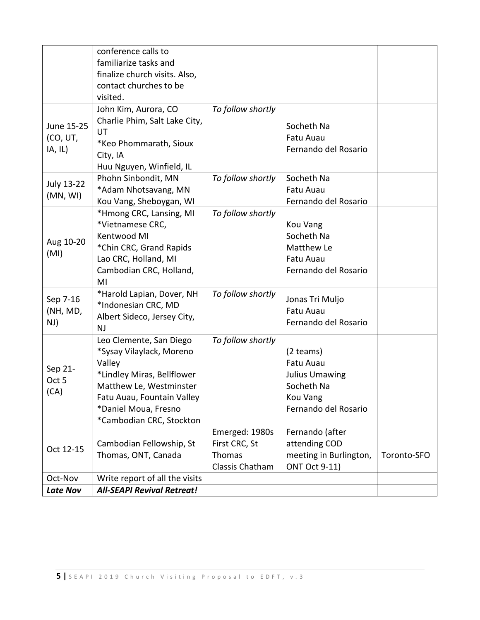|                                   | conference calls to<br>familiarize tasks and<br>finalize church visits. Also,                                                                                                                            |                                                              |                                                                                                            |             |
|-----------------------------------|----------------------------------------------------------------------------------------------------------------------------------------------------------------------------------------------------------|--------------------------------------------------------------|------------------------------------------------------------------------------------------------------------|-------------|
|                                   | contact churches to be<br>visited.                                                                                                                                                                       |                                                              |                                                                                                            |             |
| June 15-25<br>(CO, UT,<br>IA, IL) | John Kim, Aurora, CO<br>Charlie Phim, Salt Lake City,<br>UT<br>*Keo Phommarath, Sioux<br>City, IA<br>Huu Nguyen, Winfield, IL                                                                            | To follow shortly                                            | Socheth Na<br>Fatu Auau<br>Fernando del Rosario                                                            |             |
| July 13-22<br>(MN, WI)            | Phohn Sinbondit, MN<br>*Adam Nhotsavang, MN<br>Kou Vang, Sheboygan, WI                                                                                                                                   | To follow shortly                                            | Socheth Na<br>Fatu Auau<br>Fernando del Rosario                                                            |             |
| Aug 10-20<br>(MI)                 | *Hmong CRC, Lansing, MI<br>*Vietnamese CRC,<br>Kentwood MI<br>*Chin CRC, Grand Rapids<br>Lao CRC, Holland, MI<br>Cambodian CRC, Holland,<br>MI                                                           | To follow shortly                                            | Kou Vang<br>Socheth Na<br>Matthew Le<br>Fatu Auau<br>Fernando del Rosario                                  |             |
| Sep 7-16<br>(NH, MD,<br>NJ)       | *Harold Lapian, Dover, NH<br>*Indonesian CRC, MD<br>Albert Sideco, Jersey City,<br><b>NJ</b>                                                                                                             | To follow shortly                                            | Jonas Tri Muljo<br>Fatu Auau<br>Fernando del Rosario                                                       |             |
| Sep 21-<br>Oct 5<br>(CA)          | Leo Clemente, San Diego<br>*Sysay Vilaylack, Moreno<br>Valley<br>*Lindley Miras, Bellflower<br>Matthew Le, Westminster<br>Fatu Auau, Fountain Valley<br>*Daniel Moua, Fresno<br>*Cambodian CRC, Stockton | To follow shortly                                            | $(2$ teams)<br>Fatu Auau<br><b>Julius Umawing</b><br>Socheth Na<br><b>Kou Vang</b><br>Fernando del Rosario |             |
| Oct 12-15                         | Cambodian Fellowship, St<br>Thomas, ONT, Canada                                                                                                                                                          | Emerged: 1980s<br>First CRC, St<br>Thomas<br>Classis Chatham | Fernando (after<br>attending COD<br>meeting in Burlington,<br><b>ONT Oct 9-11)</b>                         | Toronto-SFO |
| Oct-Nov<br><b>Late Nov</b>        | Write report of all the visits<br><b>All-SEAPI Revival Retreat!</b>                                                                                                                                      |                                                              |                                                                                                            |             |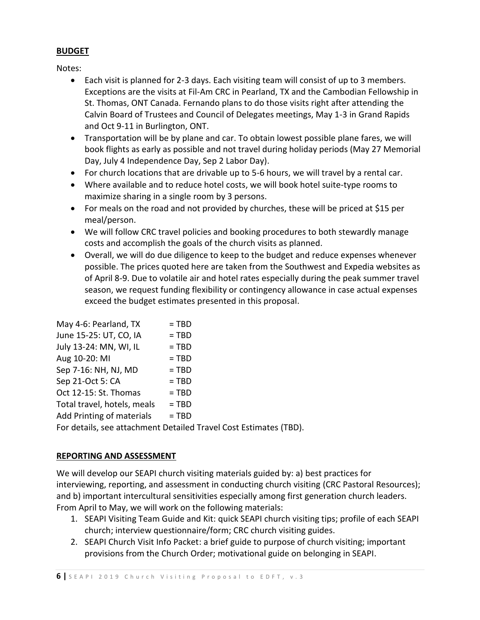## **BUDGET**

Notes:

- Each visit is planned for 2-3 days. Each visiting team will consist of up to 3 members. Exceptions are the visits at Fil-Am CRC in Pearland, TX and the Cambodian Fellowship in St. Thomas, ONT Canada. Fernando plans to do those visits right after attending the Calvin Board of Trustees and Council of Delegates meetings, May 1-3 in Grand Rapids and Oct 9-11 in Burlington, ONT.
- Transportation will be by plane and car. To obtain lowest possible plane fares, we will book flights as early as possible and not travel during holiday periods (May 27 Memorial Day, July 4 Independence Day, Sep 2 Labor Day).
- For church locations that are drivable up to 5-6 hours, we will travel by a rental car.
- Where available and to reduce hotel costs, we will book hotel suite-type rooms to maximize sharing in a single room by 3 persons.
- For meals on the road and not provided by churches, these will be priced at \$15 per meal/person.
- We will follow CRC travel policies and booking procedures to both stewardly manage costs and accomplish the goals of the church visits as planned.
- Overall, we will do due diligence to keep to the budget and reduce expenses whenever possible. The prices quoted here are taken from the Southwest and Expedia websites as of April 8-9. Due to volatile air and hotel rates especially during the peak summer travel season, we request funding flexibility or contingency allowance in case actual expenses exceed the budget estimates presented in this proposal.

| May 4-6: Pearland, TX                                             | $=$ TBD |  |  |  |
|-------------------------------------------------------------------|---------|--|--|--|
| June 15-25: UT, CO, IA                                            | $= TBD$ |  |  |  |
| July 13-24: MN, WI, IL                                            | $= TBD$ |  |  |  |
| Aug 10-20: MI                                                     | $=$ TBD |  |  |  |
| Sep 7-16: NH, NJ, MD                                              | $=$ TBD |  |  |  |
| Sep 21-Oct 5: CA                                                  | $= TBD$ |  |  |  |
| Oct 12-15: St. Thomas                                             | $= TBD$ |  |  |  |
| Total travel, hotels, meals                                       | $=$ TBD |  |  |  |
| Add Printing of materials                                         | $= TBD$ |  |  |  |
| For details, see attachment Detailed Travel Cost Estimates (TBD). |         |  |  |  |
|                                                                   |         |  |  |  |

## **REPORTING AND ASSESSMENT**

We will develop our SEAPI church visiting materials guided by: a) best practices for interviewing, reporting, and assessment in conducting church visiting (CRC Pastoral Resources); and b) important intercultural sensitivities especially among first generation church leaders. From April to May, we will work on the following materials:

- 1. SEAPI Visiting Team Guide and Kit: quick SEAPI church visiting tips; profile of each SEAPI church; interview questionnaire/form; CRC church visiting guides.
- 2. SEAPI Church Visit Info Packet: a brief guide to purpose of church visiting; important provisions from the Church Order; motivational guide on belonging in SEAPI.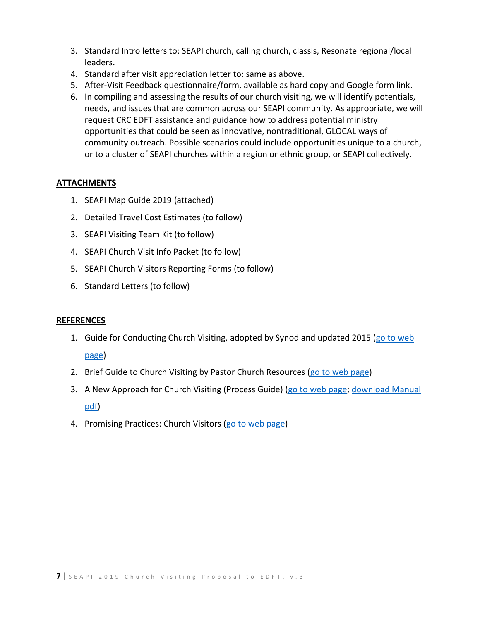- 3. Standard Intro letters to: SEAPI church, calling church, classis, Resonate regional/local leaders.
- 4. Standard after visit appreciation letter to: same as above.
- 5. After-Visit Feedback questionnaire/form, available as hard copy and Google form link.
- 6. In compiling and assessing the results of our church visiting, we will identify potentials, needs, and issues that are common across our SEAPI community. As appropriate, we will request CRC EDFT assistance and guidance how to address potential ministry opportunities that could be seen as innovative, nontraditional, GLOCAL ways of community outreach. Possible scenarios could include opportunities unique to a church, or to a cluster of SEAPI churches within a region or ethnic group, or SEAPI collectively.

## **ATTACHMENTS**

- 1. SEAPI Map Guide 2019 (attached)
- 2. Detailed Travel Cost Estimates (to follow)
- 3. SEAPI Visiting Team Kit (to follow)
- 4. SEAPI Church Visit Info Packet (to follow)
- 5. SEAPI Church Visitors Reporting Forms (to follow)
- 6. Standard Letters (to follow)

#### **REFERENCES**

1. Guide for Conducting Church Visiting, adopted by Synod and updated 2015 [\(go to web](https://www.crcna.org/sites/default/files/2015_church_visiting_guide.pdf) 

## [page\)](https://www.crcna.org/sites/default/files/2015_church_visiting_guide.pdf)

- 2. Brief Guide to Church Visiting by Pastor Church Resources [\(go to web page\)](https://network.crcna.org/classis/brief-guide-church-visiting)
- 3. A New Approach for Church Visiting (Process Guide) [\(go to web page;](https://network.crcna.org/church-renewal/new-approach-church-visiting-process-guide) [download Manual](https://network.crcna.org/sites/default/files/documents/Manual.pdf)  [pdf\)](https://network.crcna.org/sites/default/files/documents/Manual.pdf)
- 4. Promising Practices: Church Visitors [\(go to web page\)](https://www.crcna.org/pcr/classis-leaders/promising-practices-learning-together#pp_ChurchVisitors)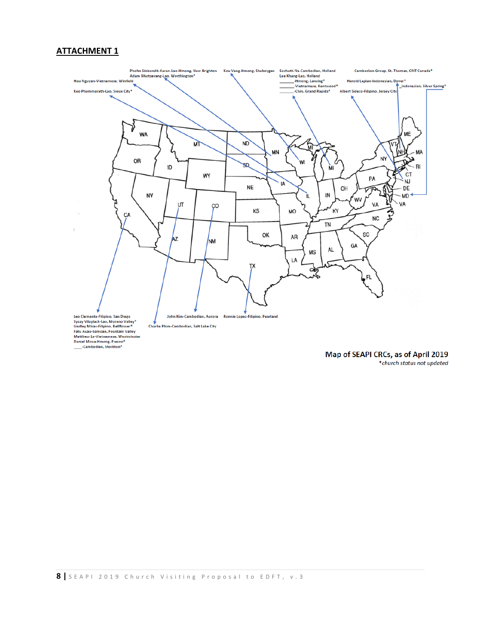#### **ATTACHMENT 1**



Map of SEAPI CRCs, as of April 2019 \*church status not updated